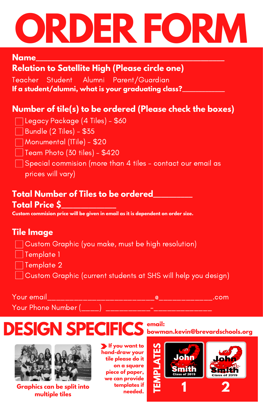# **ORDER FORM**

#### **Name\_\_\_\_\_\_\_\_\_\_\_\_\_\_\_\_\_\_\_\_\_\_\_\_\_\_\_\_\_\_\_\_\_\_\_\_\_\_\_\_\_\_\_\_\_\_\_\_**

# **Relation to Satellite High (Please circle one)**

Teacher Student Alumni Parent/Guardian **If a student/alumni, what is your graduating class?\_\_\_\_\_\_\_\_\_\_\_\_\_**

# **Number of tile(s) to be ordered (Please check the boxes)**

- Legacy Package (4 Tiles) \$60
- $\Box$  Bundle (2 Tiles) \$35
- Monumental (1Tile) \$20
- $\Box$  Team Photo (30 tiles)  $$420$
- $\Box$  Special commision (more than 4 tiles contact our email as
	- prices will vary)

# **Total Number of Tiles to be ordered\_\_\_\_\_\_\_\_\_\_ Total Price \$\_\_\_\_\_\_\_\_\_\_\_\_\_\_**

**Custom commision price will be given in email as it is dependent on order size.**

### **Tile Image**

- Custom Graphic (you make, must be high resolution)
- $\overline{\phantom{a}}$  Template 1
- Template 2
- Custom Graphic (current students at SHS will help you design)

#### Your email\_\_\_\_\_\_\_\_\_\_\_\_\_\_\_\_\_\_\_\_\_\_\_\_@\_\_\_\_\_\_\_\_\_\_\_\_.com

 $Your Phone Number ($ 

# **DESIGN SPECIFICS bowman.kevin@brevardschools.org email:**



**Graphics can be split into multiple tiles**

**If you want to hand-draw your tile please do it on a square piece of paper, we can provide templates if needed.**